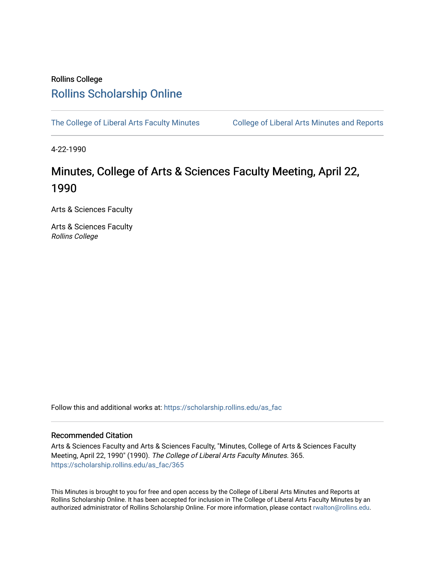## Rollins College [Rollins Scholarship Online](https://scholarship.rollins.edu/)

[The College of Liberal Arts Faculty Minutes](https://scholarship.rollins.edu/as_fac) College of Liberal Arts Minutes and Reports

4-22-1990

# Minutes, College of Arts & Sciences Faculty Meeting, April 22, 1990

Arts & Sciences Faculty

Arts & Sciences Faculty Rollins College

Follow this and additional works at: [https://scholarship.rollins.edu/as\\_fac](https://scholarship.rollins.edu/as_fac?utm_source=scholarship.rollins.edu%2Fas_fac%2F365&utm_medium=PDF&utm_campaign=PDFCoverPages) 

#### Recommended Citation

Arts & Sciences Faculty and Arts & Sciences Faculty, "Minutes, College of Arts & Sciences Faculty Meeting, April 22, 1990" (1990). The College of Liberal Arts Faculty Minutes. 365. [https://scholarship.rollins.edu/as\\_fac/365](https://scholarship.rollins.edu/as_fac/365?utm_source=scholarship.rollins.edu%2Fas_fac%2F365&utm_medium=PDF&utm_campaign=PDFCoverPages) 

This Minutes is brought to you for free and open access by the College of Liberal Arts Minutes and Reports at Rollins Scholarship Online. It has been accepted for inclusion in The College of Liberal Arts Faculty Minutes by an authorized administrator of Rollins Scholarship Online. For more information, please contact [rwalton@rollins.edu](mailto:rwalton@rollins.edu).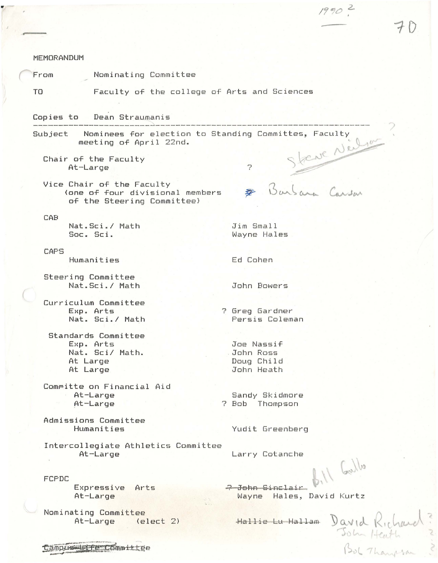| <b>MEMORANDUM</b><br>Nominating Committee<br>From<br>Faculty of the college of Arts and Sciences<br>TO<br>Copies to Dean Straumanis<br>Subject  Nominees for election to Standing Committes, Faculty<br>Steue Neilson<br>meeting of April 22nd.<br>Chair of the Faculty<br>Ç,<br>At-Large<br>Barbara Carson<br>Vice Chair of the Faculty<br>(one of four divisional members<br>of the Steering Committee)<br>CAB<br>Nat. Sci./ Math<br>Jim Small<br>Soc. Sci.<br>Wayne Hales<br><b>CAFS</b><br>Humanities<br>Ed Cohen<br>Steering Committee<br>Nat.Sci./ Math<br>John Bowers<br>Curriculum Committee |           |                             |
|------------------------------------------------------------------------------------------------------------------------------------------------------------------------------------------------------------------------------------------------------------------------------------------------------------------------------------------------------------------------------------------------------------------------------------------------------------------------------------------------------------------------------------------------------------------------------------------------------|-----------|-----------------------------|
|                                                                                                                                                                                                                                                                                                                                                                                                                                                                                                                                                                                                      |           |                             |
|                                                                                                                                                                                                                                                                                                                                                                                                                                                                                                                                                                                                      |           |                             |
|                                                                                                                                                                                                                                                                                                                                                                                                                                                                                                                                                                                                      |           |                             |
|                                                                                                                                                                                                                                                                                                                                                                                                                                                                                                                                                                                                      |           |                             |
|                                                                                                                                                                                                                                                                                                                                                                                                                                                                                                                                                                                                      |           |                             |
|                                                                                                                                                                                                                                                                                                                                                                                                                                                                                                                                                                                                      |           |                             |
|                                                                                                                                                                                                                                                                                                                                                                                                                                                                                                                                                                                                      |           |                             |
|                                                                                                                                                                                                                                                                                                                                                                                                                                                                                                                                                                                                      |           |                             |
|                                                                                                                                                                                                                                                                                                                                                                                                                                                                                                                                                                                                      |           |                             |
|                                                                                                                                                                                                                                                                                                                                                                                                                                                                                                                                                                                                      |           |                             |
|                                                                                                                                                                                                                                                                                                                                                                                                                                                                                                                                                                                                      |           |                             |
|                                                                                                                                                                                                                                                                                                                                                                                                                                                                                                                                                                                                      |           |                             |
|                                                                                                                                                                                                                                                                                                                                                                                                                                                                                                                                                                                                      |           |                             |
| Nat. Sci./ Math<br>Persis Coleman                                                                                                                                                                                                                                                                                                                                                                                                                                                                                                                                                                    | Exp. Arts | ? Greg Gardner              |
| Standards Committee                                                                                                                                                                                                                                                                                                                                                                                                                                                                                                                                                                                  |           |                             |
| Joe Nassif<br>Exp. Arts                                                                                                                                                                                                                                                                                                                                                                                                                                                                                                                                                                              |           |                             |
| Nat. Sci/ Math.<br>John Ross                                                                                                                                                                                                                                                                                                                                                                                                                                                                                                                                                                         |           |                             |
| At Large<br>Doug Child<br>John Heath<br>At Large                                                                                                                                                                                                                                                                                                                                                                                                                                                                                                                                                     |           |                             |
|                                                                                                                                                                                                                                                                                                                                                                                                                                                                                                                                                                                                      |           |                             |
| Committe on Financial Aid                                                                                                                                                                                                                                                                                                                                                                                                                                                                                                                                                                            |           |                             |
| At-Large<br>Sandy Skidmore<br>At-Large<br>? Bob Thompson                                                                                                                                                                                                                                                                                                                                                                                                                                                                                                                                             |           |                             |
| Admissions Committee<br>Humanities<br>Yudit Greenberg                                                                                                                                                                                                                                                                                                                                                                                                                                                                                                                                                |           |                             |
|                                                                                                                                                                                                                                                                                                                                                                                                                                                                                                                                                                                                      |           |                             |
| Intercollegiate Athletics Committee<br>At-Large<br>Larry Cotanche                                                                                                                                                                                                                                                                                                                                                                                                                                                                                                                                    |           |                             |
|                                                                                                                                                                                                                                                                                                                                                                                                                                                                                                                                                                                                      |           |                             |
| Bill Gulls<br>FCPDC                                                                                                                                                                                                                                                                                                                                                                                                                                                                                                                                                                                  |           |                             |
| 2 John Sinclair<br>Expressive<br>Arts                                                                                                                                                                                                                                                                                                                                                                                                                                                                                                                                                                |           |                             |
| At-Large<br>Wayne Hales, David Kurtz                                                                                                                                                                                                                                                                                                                                                                                                                                                                                                                                                                 |           |                             |
| Nominating Committee                                                                                                                                                                                                                                                                                                                                                                                                                                                                                                                                                                                 |           |                             |
| Hallie Lu Hallam<br>At-Large<br>(elect 2)                                                                                                                                                                                                                                                                                                                                                                                                                                                                                                                                                            |           | David Richard<br>John Heuth |
| Campus infectommittee                                                                                                                                                                                                                                                                                                                                                                                                                                                                                                                                                                                |           |                             |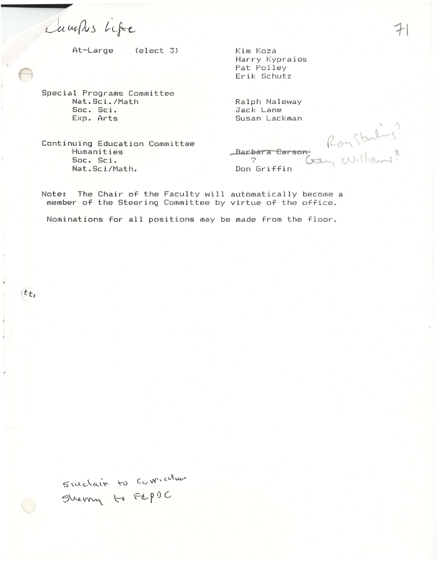Laurks Life

At-Large  $\text{(elect 3)}$ 

Kim Koza Harry Kypraios Pat Polley Erik Schutz

Special Programs Committee Nat.Sci./Math Soc. Sci. Exp. Arts

Ralph Naleway Jack Lane Susan Lackman

Continuing Education Committee Humanities Soc. Sci. Nat.Sci/Math.

Bay Williams? Barbara Carson, Ç. Don Griffin

The Chair of the Faculty will automatically become a Note: member of the Steering Committee by virtue of the office.

Nominations for all positions may be made from the floor.

Suchain to Cumicular Sherry to FLPOC

 $t_{t}$ 

 $\rightarrow$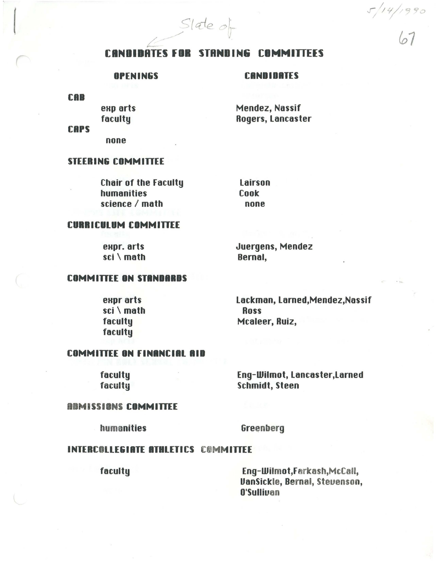$S$ late of

#### **CANDIDATES FOR STANDING COMMITTEES**

#### **OPENINGS**

#### **CANDIDATES**

**CAB** 

exp arts faculty

Mendez, Nassif **Rogers, Lancaster** 

**CAPS** 

none

#### **STEERING COMMITTEE**

**Chair of the Faculty** humanities science / math

Lairson Cook none

#### **CURRICULUM COMMITTEE**

expr. arts sci \ math Juergens, Mendez Bernal,

#### **COMMITTEE ON STANDARDS**

expr arts sci \ math faculty faculty

Lackman, Larned, Mendez, Nassif **Ross** Mcaleer, Ruiz,

## **COMMITTEE ON FINANCIAL AID**

faculty faculty Eng-Wilmot, Lancaster, Larned **Schmidt**, Steen

#### **ABMISSIONS COMMITTEE**

humanities

Greenberg

#### **INTERCOLLEGIATE ATHLETICS COMMITTEE**

faculty

Eng-Wilmot, Farkash, McCall, **VanSickle, Bernal, Stevenson,** O'Sullivan

 $5/14/1990$